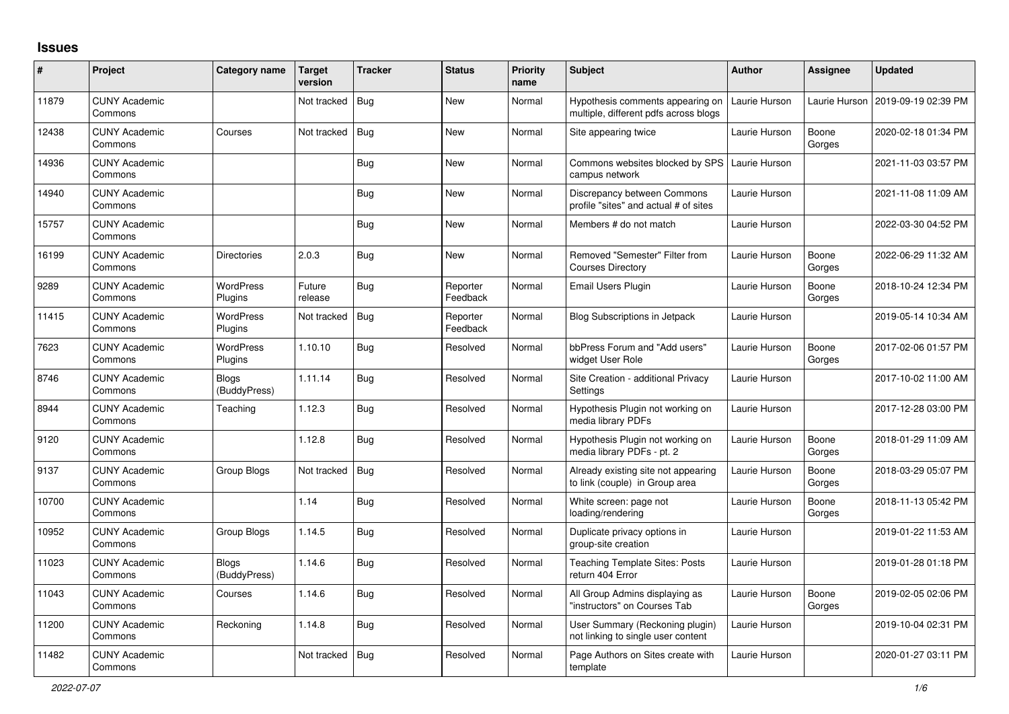## **Issues**

| $\vert$ # | Project                         | Category name         | <b>Target</b><br>version | <b>Tracker</b> | <b>Status</b>        | <b>Priority</b><br>name | <b>Subject</b>                                                            | <b>Author</b> | Assignee        | <b>Updated</b>      |
|-----------|---------------------------------|-----------------------|--------------------------|----------------|----------------------|-------------------------|---------------------------------------------------------------------------|---------------|-----------------|---------------------|
| 11879     | <b>CUNY Academic</b><br>Commons |                       | Not tracked              | Bug            | <b>New</b>           | Normal                  | Hypothesis comments appearing on<br>multiple, different pdfs across blogs | Laurie Hurson | Laurie Hurson   | 2019-09-19 02:39 PM |
| 12438     | <b>CUNY Academic</b><br>Commons | Courses               | Not tracked              | Bug            | New                  | Normal                  | Site appearing twice                                                      | Laurie Hurson | Boone<br>Gorges | 2020-02-18 01:34 PM |
| 14936     | <b>CUNY Academic</b><br>Commons |                       |                          | <b>Bug</b>     | New                  | Normal                  | Commons websites blocked by SPS<br>campus network                         | Laurie Hurson |                 | 2021-11-03 03:57 PM |
| 14940     | <b>CUNY Academic</b><br>Commons |                       |                          | <b>Bug</b>     | New                  | Normal                  | Discrepancy between Commons<br>profile "sites" and actual # of sites      | Laurie Hurson |                 | 2021-11-08 11:09 AM |
| 15757     | <b>CUNY Academic</b><br>Commons |                       |                          | Bug            | <b>New</b>           | Normal                  | Members # do not match                                                    | Laurie Hurson |                 | 2022-03-30 04:52 PM |
| 16199     | <b>CUNY Academic</b><br>Commons | Directories           | 2.0.3                    | Bug            | New                  | Normal                  | Removed "Semester" Filter from<br><b>Courses Directory</b>                | Laurie Hurson | Boone<br>Gorges | 2022-06-29 11:32 AM |
| 9289      | <b>CUNY Academic</b><br>Commons | WordPress<br>Plugins  | Future<br>release        | Bug            | Reporter<br>Feedback | Normal                  | Email Users Plugin                                                        | Laurie Hurson | Boone<br>Gorges | 2018-10-24 12:34 PM |
| 11415     | <b>CUNY Academic</b><br>Commons | WordPress<br>Plugins  | Not tracked              | Bug            | Reporter<br>Feedback | Normal                  | <b>Blog Subscriptions in Jetpack</b>                                      | Laurie Hurson |                 | 2019-05-14 10:34 AM |
| 7623      | <b>CUNY Academic</b><br>Commons | WordPress<br>Plugins  | 1.10.10                  | <b>Bug</b>     | Resolved             | Normal                  | bbPress Forum and "Add users"<br>widget User Role                         | Laurie Hurson | Boone<br>Gorges | 2017-02-06 01:57 PM |
| 8746      | <b>CUNY Academic</b><br>Commons | Blogs<br>(BuddyPress) | 1.11.14                  | Bug            | Resolved             | Normal                  | Site Creation - additional Privacy<br>Settings                            | Laurie Hurson |                 | 2017-10-02 11:00 AM |
| 8944      | <b>CUNY Academic</b><br>Commons | Teaching              | 1.12.3                   | <b>Bug</b>     | Resolved             | Normal                  | Hypothesis Plugin not working on<br>media library PDFs                    | Laurie Hurson |                 | 2017-12-28 03:00 PM |
| 9120      | <b>CUNY Academic</b><br>Commons |                       | 1.12.8                   | Bug            | Resolved             | Normal                  | Hypothesis Plugin not working on<br>media library PDFs - pt. 2            | Laurie Hurson | Boone<br>Gorges | 2018-01-29 11:09 AM |
| 9137      | <b>CUNY Academic</b><br>Commons | Group Blogs           | Not tracked              | Bug            | Resolved             | Normal                  | Already existing site not appearing<br>to link (couple) in Group area     | Laurie Hurson | Boone<br>Gorges | 2018-03-29 05:07 PM |
| 10700     | <b>CUNY Academic</b><br>Commons |                       | 1.14                     | Bug            | Resolved             | Normal                  | White screen: page not<br>loading/rendering                               | Laurie Hurson | Boone<br>Gorges | 2018-11-13 05:42 PM |
| 10952     | <b>CUNY Academic</b><br>Commons | Group Blogs           | 1.14.5                   | <b>Bug</b>     | Resolved             | Normal                  | Duplicate privacy options in<br>group-site creation                       | Laurie Hurson |                 | 2019-01-22 11:53 AM |
| 11023     | <b>CUNY Academic</b><br>Commons | Blogs<br>(BuddyPress) | 1.14.6                   | <b>Bug</b>     | Resolved             | Normal                  | <b>Teaching Template Sites: Posts</b><br>return 404 Error                 | Laurie Hurson |                 | 2019-01-28 01:18 PM |
| 11043     | <b>CUNY Academic</b><br>Commons | Courses               | 1.14.6                   | <b>Bug</b>     | Resolved             | Normal                  | All Group Admins displaying as<br>"instructors" on Courses Tab            | Laurie Hurson | Boone<br>Gorges | 2019-02-05 02:06 PM |
| 11200     | <b>CUNY Academic</b><br>Commons | Reckoning             | 1.14.8                   | <b>Bug</b>     | Resolved             | Normal                  | User Summary (Reckoning plugin)<br>not linking to single user content     | Laurie Hurson |                 | 2019-10-04 02:31 PM |
| 11482     | <b>CUNY Academic</b><br>Commons |                       | Not tracked              | <b>Bug</b>     | Resolved             | Normal                  | Page Authors on Sites create with<br>template                             | Laurie Hurson |                 | 2020-01-27 03:11 PM |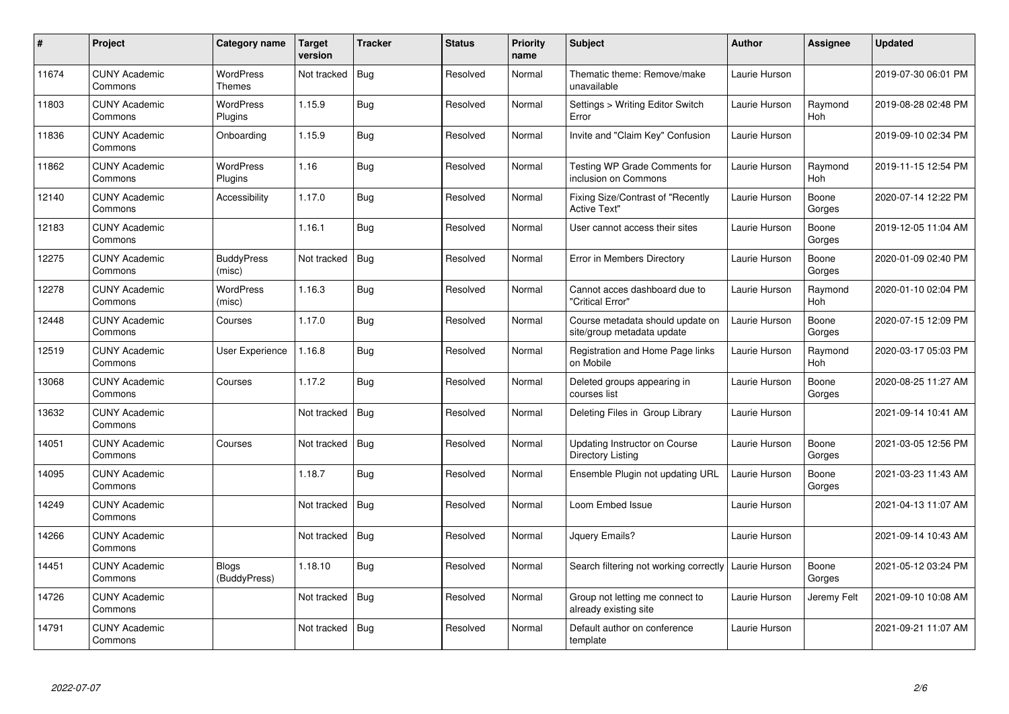| $\sharp$ | Project                         | Category name                | <b>Target</b><br>version | <b>Tracker</b> | <b>Status</b> | <b>Priority</b><br>name | <b>Subject</b>                                                 | <b>Author</b> | Assignee              | <b>Updated</b>      |
|----------|---------------------------------|------------------------------|--------------------------|----------------|---------------|-------------------------|----------------------------------------------------------------|---------------|-----------------------|---------------------|
| 11674    | <b>CUNY Academic</b><br>Commons | <b>WordPress</b><br>Themes   | Not tracked              | Bug            | Resolved      | Normal                  | Thematic theme: Remove/make<br>unavailable                     | Laurie Hurson |                       | 2019-07-30 06:01 PM |
| 11803    | <b>CUNY Academic</b><br>Commons | <b>WordPress</b><br>Plugins  | 1.15.9                   | Bug            | Resolved      | Normal                  | Settings > Writing Editor Switch<br>Error                      | Laurie Hurson | Raymond<br>Hoh        | 2019-08-28 02:48 PM |
| 11836    | <b>CUNY Academic</b><br>Commons | Onboarding                   | 1.15.9                   | <b>Bug</b>     | Resolved      | Normal                  | Invite and "Claim Key" Confusion                               | Laurie Hurson |                       | 2019-09-10 02:34 PM |
| 11862    | <b>CUNY Academic</b><br>Commons | WordPress<br>Plugins         | 1.16                     | <b>Bug</b>     | Resolved      | Normal                  | Testing WP Grade Comments for<br>inclusion on Commons          | Laurie Hurson | Raymond<br><b>Hoh</b> | 2019-11-15 12:54 PM |
| 12140    | <b>CUNY Academic</b><br>Commons | Accessibility                | 1.17.0                   | <b>Bug</b>     | Resolved      | Normal                  | Fixing Size/Contrast of "Recently<br><b>Active Text"</b>       | Laurie Hurson | Boone<br>Gorges       | 2020-07-14 12:22 PM |
| 12183    | <b>CUNY Academic</b><br>Commons |                              | 1.16.1                   | <b>Bug</b>     | Resolved      | Normal                  | User cannot access their sites                                 | Laurie Hurson | Boone<br>Gorges       | 2019-12-05 11:04 AM |
| 12275    | <b>CUNY Academic</b><br>Commons | <b>BuddyPress</b><br>(misc)  | Not tracked              | <b>Bug</b>     | Resolved      | Normal                  | Error in Members Directory                                     | Laurie Hurson | Boone<br>Gorges       | 2020-01-09 02:40 PM |
| 12278    | <b>CUNY Academic</b><br>Commons | WordPress<br>(misc)          | 1.16.3                   | <b>Bug</b>     | Resolved      | Normal                  | Cannot acces dashboard due to<br>"Critical Error"              | Laurie Hurson | Raymond<br><b>Hoh</b> | 2020-01-10 02:04 PM |
| 12448    | <b>CUNY Academic</b><br>Commons | Courses                      | 1.17.0                   | Bug            | Resolved      | Normal                  | Course metadata should update on<br>site/group metadata update | Laurie Hurson | Boone<br>Gorges       | 2020-07-15 12:09 PM |
| 12519    | <b>CUNY Academic</b><br>Commons | User Experience              | 1.16.8                   | <b>Bug</b>     | Resolved      | Normal                  | Registration and Home Page links<br>on Mobile                  | Laurie Hurson | Raymond<br>Hoh        | 2020-03-17 05:03 PM |
| 13068    | <b>CUNY Academic</b><br>Commons | Courses                      | 1.17.2                   | <b>Bug</b>     | Resolved      | Normal                  | Deleted groups appearing in<br>courses list                    | Laurie Hurson | Boone<br>Gorges       | 2020-08-25 11:27 AM |
| 13632    | <b>CUNY Academic</b><br>Commons |                              | Not tracked              | <b>Bug</b>     | Resolved      | Normal                  | Deleting Files in Group Library                                | Laurie Hurson |                       | 2021-09-14 10:41 AM |
| 14051    | <b>CUNY Academic</b><br>Commons | Courses                      | Not tracked              | Bug            | Resolved      | Normal                  | Updating Instructor on Course<br>Directory Listing             | Laurie Hurson | Boone<br>Gorges       | 2021-03-05 12:56 PM |
| 14095    | <b>CUNY Academic</b><br>Commons |                              | 1.18.7                   | <b>Bug</b>     | Resolved      | Normal                  | Ensemble Plugin not updating URL                               | Laurie Hurson | Boone<br>Gorges       | 2021-03-23 11:43 AM |
| 14249    | <b>CUNY Academic</b><br>Commons |                              | Not tracked              | Bug            | Resolved      | Normal                  | Loom Embed Issue                                               | Laurie Hurson |                       | 2021-04-13 11:07 AM |
| 14266    | <b>CUNY Academic</b><br>Commons |                              | Not tracked              | Bug            | Resolved      | Normal                  | Jquery Emails?                                                 | Laurie Hurson |                       | 2021-09-14 10:43 AM |
| 14451    | <b>CUNY Academic</b><br>Commons | <b>Blogs</b><br>(BuddyPress) | 1.18.10                  | Bug            | Resolved      | Normal                  | Search filtering not working correctly                         | Laurie Hurson | Boone<br>Gorges       | 2021-05-12 03:24 PM |
| 14726    | <b>CUNY Academic</b><br>Commons |                              | Not tracked              | <b>Bug</b>     | Resolved      | Normal                  | Group not letting me connect to<br>already existing site       | Laurie Hurson | Jeremy Felt           | 2021-09-10 10:08 AM |
| 14791    | <b>CUNY Academic</b><br>Commons |                              | Not tracked              | <b>Bug</b>     | Resolved      | Normal                  | Default author on conference<br>template                       | Laurie Hurson |                       | 2021-09-21 11:07 AM |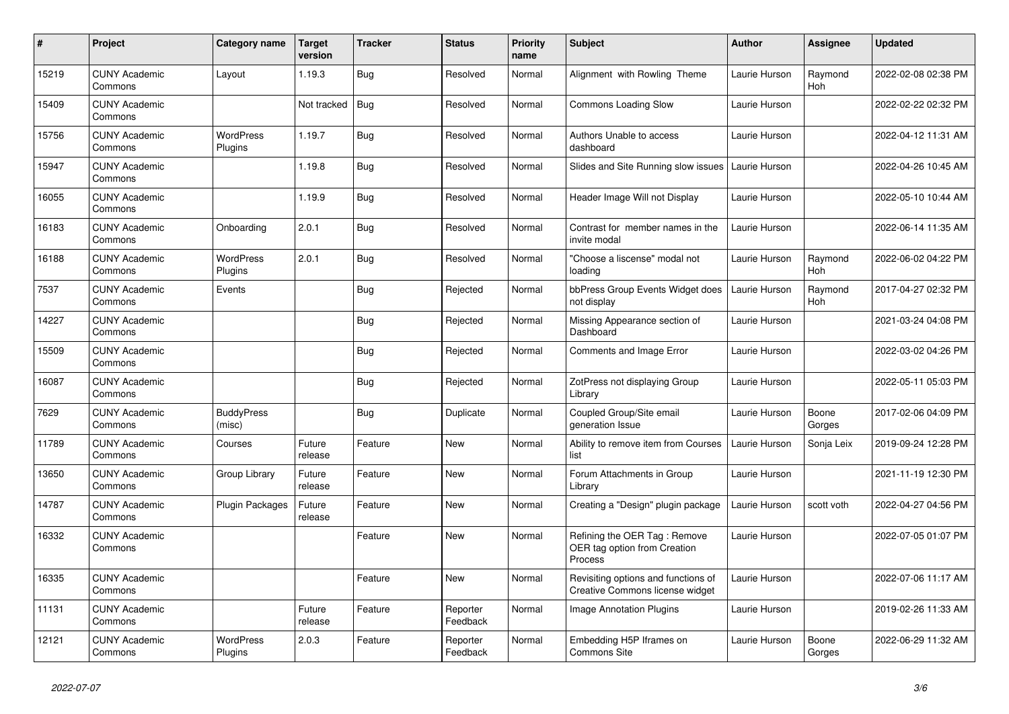| $\#$  | Project                         | Category name               | <b>Target</b><br>version | <b>Tracker</b> | <b>Status</b>        | <b>Priority</b><br>name | <b>Subject</b>                                                                | <b>Author</b> | <b>Assignee</b> | <b>Updated</b>      |
|-------|---------------------------------|-----------------------------|--------------------------|----------------|----------------------|-------------------------|-------------------------------------------------------------------------------|---------------|-----------------|---------------------|
| 15219 | <b>CUNY Academic</b><br>Commons | Layout                      | 1.19.3                   | <b>Bug</b>     | Resolved             | Normal                  | Alignment with Rowling Theme                                                  | Laurie Hurson | Raymond<br>Hoh  | 2022-02-08 02:38 PM |
| 15409 | <b>CUNY Academic</b><br>Commons |                             | Not tracked              | <b>Bug</b>     | Resolved             | Normal                  | <b>Commons Loading Slow</b>                                                   | Laurie Hurson |                 | 2022-02-22 02:32 PM |
| 15756 | <b>CUNY Academic</b><br>Commons | WordPress<br>Plugins        | 1.19.7                   | Bug            | Resolved             | Normal                  | Authors Unable to access<br>dashboard                                         | Laurie Hurson |                 | 2022-04-12 11:31 AM |
| 15947 | <b>CUNY Academic</b><br>Commons |                             | 1.19.8                   | <b>Bug</b>     | Resolved             | Normal                  | Slides and Site Running slow issues                                           | Laurie Hurson |                 | 2022-04-26 10:45 AM |
| 16055 | <b>CUNY Academic</b><br>Commons |                             | 1.19.9                   | <b>Bug</b>     | Resolved             | Normal                  | Header Image Will not Display                                                 | Laurie Hurson |                 | 2022-05-10 10:44 AM |
| 16183 | <b>CUNY Academic</b><br>Commons | Onboarding                  | 2.0.1                    | <b>Bug</b>     | Resolved             | Normal                  | Contrast for member names in the<br>invite modal                              | Laurie Hurson |                 | 2022-06-14 11:35 AM |
| 16188 | <b>CUNY Academic</b><br>Commons | <b>WordPress</b><br>Plugins | 2.0.1                    | <b>Bug</b>     | Resolved             | Normal                  | "Choose a liscense" modal not<br>loading                                      | Laurie Hurson | Raymond<br>Hoh  | 2022-06-02 04:22 PM |
| 7537  | <b>CUNY Academic</b><br>Commons | Events                      |                          | <b>Bug</b>     | Rejected             | Normal                  | bbPress Group Events Widget does<br>not display                               | Laurie Hurson | Raymond<br>Hoh  | 2017-04-27 02:32 PM |
| 14227 | <b>CUNY Academic</b><br>Commons |                             |                          | <b>Bug</b>     | Rejected             | Normal                  | Missing Appearance section of<br>Dashboard                                    | Laurie Hurson |                 | 2021-03-24 04:08 PM |
| 15509 | <b>CUNY Academic</b><br>Commons |                             |                          | Bug            | Rejected             | Normal                  | Comments and Image Error                                                      | Laurie Hurson |                 | 2022-03-02 04:26 PM |
| 16087 | <b>CUNY Academic</b><br>Commons |                             |                          | <b>Bug</b>     | Rejected             | Normal                  | ZotPress not displaying Group<br>Library                                      | Laurie Hurson |                 | 2022-05-11 05:03 PM |
| 7629  | <b>CUNY Academic</b><br>Commons | <b>BuddyPress</b><br>(misc) |                          | Bug            | Duplicate            | Normal                  | Coupled Group/Site email<br>generation Issue                                  | Laurie Hurson | Boone<br>Gorges | 2017-02-06 04:09 PM |
| 11789 | <b>CUNY Academic</b><br>Commons | Courses                     | Future<br>release        | Feature        | <b>New</b>           | Normal                  | Ability to remove item from Courses<br>list                                   | Laurie Hurson | Sonja Leix      | 2019-09-24 12:28 PM |
| 13650 | <b>CUNY Academic</b><br>Commons | Group Library               | Future<br>release        | Feature        | <b>New</b>           | Normal                  | Forum Attachments in Group<br>Library                                         | Laurie Hurson |                 | 2021-11-19 12:30 PM |
| 14787 | <b>CUNY Academic</b><br>Commons | <b>Plugin Packages</b>      | Future<br>release        | Feature        | <b>New</b>           | Normal                  | Creating a "Design" plugin package                                            | Laurie Hurson | scott voth      | 2022-04-27 04:56 PM |
| 16332 | <b>CUNY Academic</b><br>Commons |                             |                          | Feature        | <b>New</b>           | Normal                  | Refining the OER Tag: Remove<br>OER tag option from Creation<br>Process       | Laurie Hurson |                 | 2022-07-05 01:07 PM |
| 16335 | <b>CUNY Academic</b><br>Commons |                             |                          | Feature        | <b>New</b>           | Normal                  | Revisiting options and functions of<br><b>Creative Commons license widget</b> | Laurie Hurson |                 | 2022-07-06 11:17 AM |
| 11131 | <b>CUNY Academic</b><br>Commons |                             | Future<br>release        | Feature        | Reporter<br>Feedback | Normal                  | <b>Image Annotation Plugins</b>                                               | Laurie Hurson |                 | 2019-02-26 11:33 AM |
| 12121 | <b>CUNY Academic</b><br>Commons | <b>WordPress</b><br>Plugins | 2.0.3                    | Feature        | Reporter<br>Feedback | Normal                  | Embedding H5P Iframes on<br><b>Commons Site</b>                               | Laurie Hurson | Boone<br>Gorges | 2022-06-29 11:32 AM |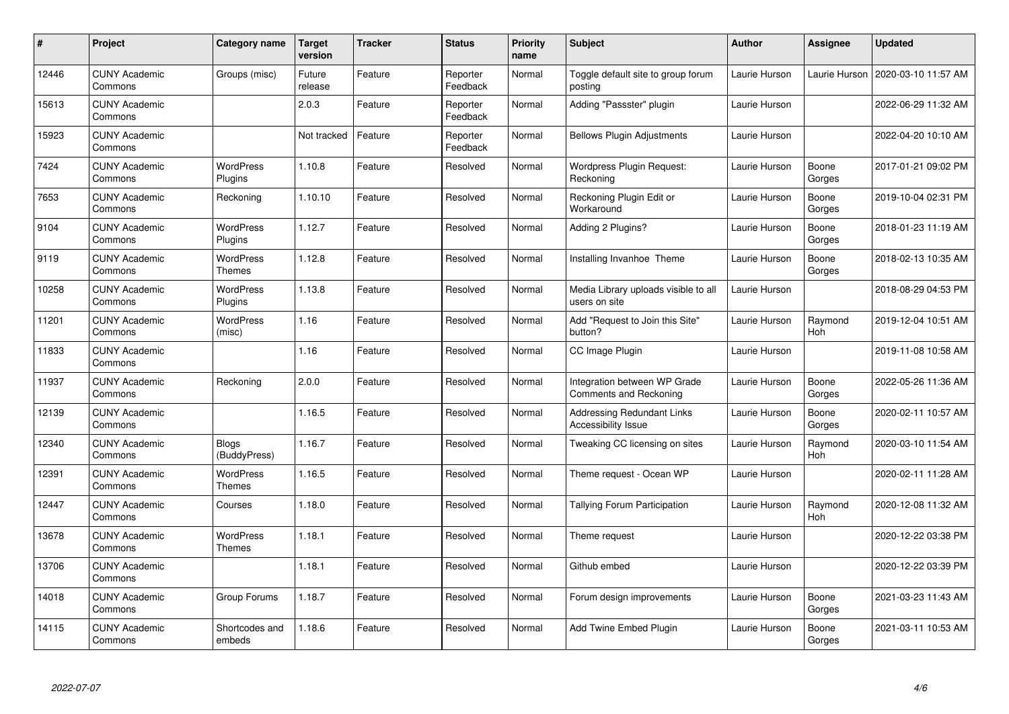| #     | Project                         | Category name                | <b>Target</b><br>version | <b>Tracker</b> | <b>Status</b>        | <b>Priority</b><br>name | <b>Subject</b>                                                  | <b>Author</b> | Assignee        | <b>Updated</b>      |
|-------|---------------------------------|------------------------------|--------------------------|----------------|----------------------|-------------------------|-----------------------------------------------------------------|---------------|-----------------|---------------------|
| 12446 | <b>CUNY Academic</b><br>Commons | Groups (misc)                | Future<br>release        | Feature        | Reporter<br>Feedback | Normal                  | Toggle default site to group forum<br>posting                   | Laurie Hurson | Laurie Hurson   | 2020-03-10 11:57 AM |
| 15613 | <b>CUNY Academic</b><br>Commons |                              | 2.0.3                    | Feature        | Reporter<br>Feedback | Normal                  | Adding "Passster" plugin                                        | Laurie Hurson |                 | 2022-06-29 11:32 AM |
| 15923 | <b>CUNY Academic</b><br>Commons |                              | Not tracked              | Feature        | Reporter<br>Feedback | Normal                  | <b>Bellows Plugin Adjustments</b>                               | Laurie Hurson |                 | 2022-04-20 10:10 AM |
| 7424  | <b>CUNY Academic</b><br>Commons | WordPress<br>Plugins         | 1.10.8                   | Feature        | Resolved             | Normal                  | Wordpress Plugin Request:<br>Reckoning                          | Laurie Hurson | Boone<br>Gorges | 2017-01-21 09:02 PM |
| 7653  | <b>CUNY Academic</b><br>Commons | Reckoning                    | 1.10.10                  | Feature        | Resolved             | Normal                  | Reckoning Plugin Edit or<br>Workaround                          | Laurie Hurson | Boone<br>Gorges | 2019-10-04 02:31 PM |
| 9104  | <b>CUNY Academic</b><br>Commons | <b>WordPress</b><br>Plugins  | 1.12.7                   | Feature        | Resolved             | Normal                  | Adding 2 Plugins?                                               | Laurie Hurson | Boone<br>Gorges | 2018-01-23 11:19 AM |
| 9119  | <b>CUNY Academic</b><br>Commons | WordPress<br>Themes          | 1.12.8                   | Feature        | Resolved             | Normal                  | Installing Invanhoe Theme                                       | Laurie Hurson | Boone<br>Gorges | 2018-02-13 10:35 AM |
| 10258 | <b>CUNY Academic</b><br>Commons | WordPress<br>Plugins         | 1.13.8                   | Feature        | Resolved             | Normal                  | Media Library uploads visible to all<br>users on site           | Laurie Hurson |                 | 2018-08-29 04:53 PM |
| 11201 | <b>CUNY Academic</b><br>Commons | WordPress<br>(misc)          | 1.16                     | Feature        | Resolved             | Normal                  | Add "Request to Join this Site"<br>button?                      | Laurie Hurson | Raymond<br>Hoh  | 2019-12-04 10:51 AM |
| 11833 | <b>CUNY Academic</b><br>Commons |                              | 1.16                     | Feature        | Resolved             | Normal                  | CC Image Plugin                                                 | Laurie Hurson |                 | 2019-11-08 10:58 AM |
| 11937 | <b>CUNY Academic</b><br>Commons | Reckoning                    | 2.0.0                    | Feature        | Resolved             | Normal                  | Integration between WP Grade<br><b>Comments and Reckoning</b>   | Laurie Hurson | Boone<br>Gorges | 2022-05-26 11:36 AM |
| 12139 | <b>CUNY Academic</b><br>Commons |                              | 1.16.5                   | Feature        | Resolved             | Normal                  | <b>Addressing Redundant Links</b><br><b>Accessibility Issue</b> | Laurie Hurson | Boone<br>Gorges | 2020-02-11 10:57 AM |
| 12340 | <b>CUNY Academic</b><br>Commons | <b>Blogs</b><br>(BuddyPress) | 1.16.7                   | Feature        | Resolved             | Normal                  | Tweaking CC licensing on sites                                  | Laurie Hurson | Raymond<br>Hoh  | 2020-03-10 11:54 AM |
| 12391 | <b>CUNY Academic</b><br>Commons | WordPress<br>Themes          | 1.16.5                   | Feature        | Resolved             | Normal                  | Theme request - Ocean WP                                        | Laurie Hurson |                 | 2020-02-11 11:28 AM |
| 12447 | <b>CUNY Academic</b><br>Commons | Courses                      | 1.18.0                   | Feature        | Resolved             | Normal                  | <b>Tallying Forum Participation</b>                             | Laurie Hurson | Raymond<br>Hoh  | 2020-12-08 11:32 AM |
| 13678 | <b>CUNY Academic</b><br>Commons | WordPress<br><b>Themes</b>   | 1.18.1                   | Feature        | Resolved             | Normal                  | Theme request                                                   | Laurie Hurson |                 | 2020-12-22 03:38 PM |
| 13706 | <b>CUNY Academic</b><br>Commons |                              | 1.18.1                   | Feature        | Resolved             | Normal                  | Github embed                                                    | Laurie Hurson |                 | 2020-12-22 03:39 PM |
| 14018 | <b>CUNY Academic</b><br>Commons | Group Forums                 | 1.18.7                   | Feature        | Resolved             | Normal                  | Forum design improvements                                       | Laurie Hurson | Boone<br>Gorges | 2021-03-23 11:43 AM |
| 14115 | <b>CUNY Academic</b><br>Commons | Shortcodes and<br>embeds     | 1.18.6                   | Feature        | Resolved             | Normal                  | Add Twine Embed Plugin                                          | Laurie Hurson | Boone<br>Gorges | 2021-03-11 10:53 AM |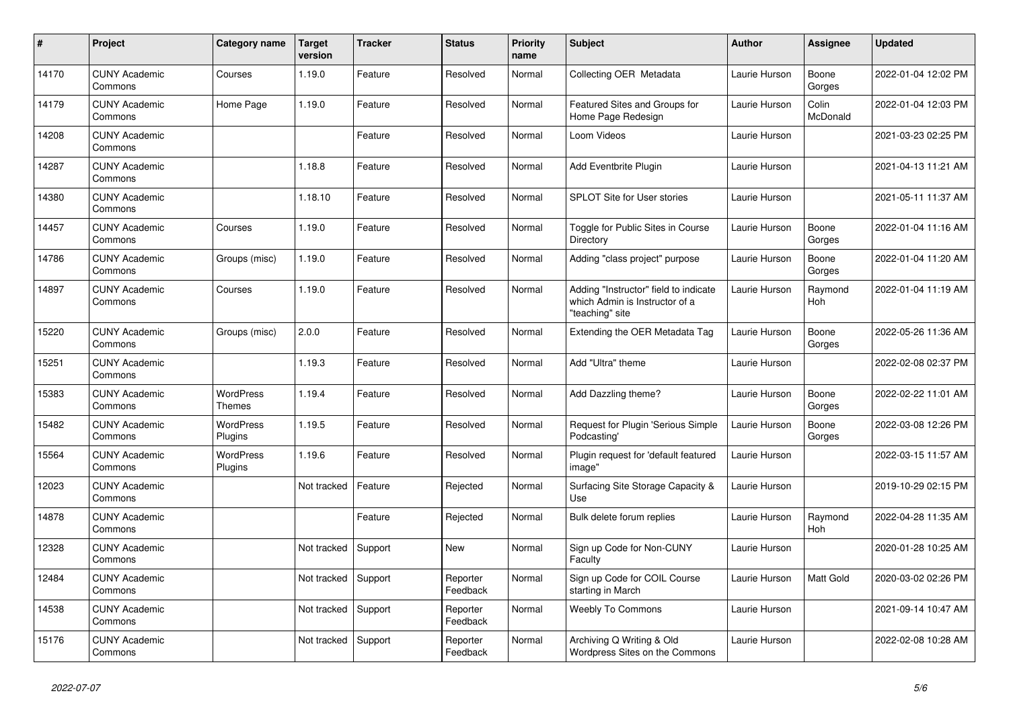| #     | Project                         | Category name              | <b>Target</b><br>version | <b>Tracker</b> | <b>Status</b>        | <b>Priority</b><br>name | <b>Subject</b>                                                                             | <b>Author</b> | <b>Assignee</b>   | <b>Updated</b>      |
|-------|---------------------------------|----------------------------|--------------------------|----------------|----------------------|-------------------------|--------------------------------------------------------------------------------------------|---------------|-------------------|---------------------|
| 14170 | <b>CUNY Academic</b><br>Commons | Courses                    | 1.19.0                   | Feature        | Resolved             | Normal                  | Collecting OER Metadata                                                                    | Laurie Hurson | Boone<br>Gorges   | 2022-01-04 12:02 PM |
| 14179 | <b>CUNY Academic</b><br>Commons | Home Page                  | 1.19.0                   | Feature        | Resolved             | Normal                  | Featured Sites and Groups for<br>Home Page Redesign                                        | Laurie Hurson | Colin<br>McDonald | 2022-01-04 12:03 PM |
| 14208 | <b>CUNY Academic</b><br>Commons |                            |                          | Feature        | Resolved             | Normal                  | Loom Videos                                                                                | Laurie Hurson |                   | 2021-03-23 02:25 PM |
| 14287 | <b>CUNY Academic</b><br>Commons |                            | 1.18.8                   | Feature        | Resolved             | Normal                  | Add Eventbrite Plugin                                                                      | Laurie Hurson |                   | 2021-04-13 11:21 AM |
| 14380 | <b>CUNY Academic</b><br>Commons |                            | 1.18.10                  | Feature        | Resolved             | Normal                  | <b>SPLOT Site for User stories</b>                                                         | Laurie Hurson |                   | 2021-05-11 11:37 AM |
| 14457 | <b>CUNY Academic</b><br>Commons | Courses                    | 1.19.0                   | Feature        | Resolved             | Normal                  | Toggle for Public Sites in Course<br>Directory                                             | Laurie Hurson | Boone<br>Gorges   | 2022-01-04 11:16 AM |
| 14786 | <b>CUNY Academic</b><br>Commons | Groups (misc)              | 1.19.0                   | Feature        | Resolved             | Normal                  | Adding "class project" purpose                                                             | Laurie Hurson | Boone<br>Gorges   | 2022-01-04 11:20 AM |
| 14897 | <b>CUNY Academic</b><br>Commons | Courses                    | 1.19.0                   | Feature        | Resolved             | Normal                  | Adding "Instructor" field to indicate<br>which Admin is Instructor of a<br>"teaching" site | Laurie Hurson | Raymond<br>Hoh    | 2022-01-04 11:19 AM |
| 15220 | <b>CUNY Academic</b><br>Commons | Groups (misc)              | 2.0.0                    | Feature        | Resolved             | Normal                  | Extending the OER Metadata Tag                                                             | Laurie Hurson | Boone<br>Gorges   | 2022-05-26 11:36 AM |
| 15251 | <b>CUNY Academic</b><br>Commons |                            | 1.19.3                   | Feature        | Resolved             | Normal                  | Add "Ultra" theme                                                                          | Laurie Hurson |                   | 2022-02-08 02:37 PM |
| 15383 | <b>CUNY Academic</b><br>Commons | <b>WordPress</b><br>Themes | 1.19.4                   | Feature        | Resolved             | Normal                  | Add Dazzling theme?                                                                        | Laurie Hurson | Boone<br>Gorges   | 2022-02-22 11:01 AM |
| 15482 | <b>CUNY Academic</b><br>Commons | WordPress<br>Plugins       | 1.19.5                   | Feature        | Resolved             | Normal                  | Request for Plugin 'Serious Simple<br>Podcasting'                                          | Laurie Hurson | Boone<br>Gorges   | 2022-03-08 12:26 PM |
| 15564 | <b>CUNY Academic</b><br>Commons | WordPress<br>Plugins       | 1.19.6                   | Feature        | Resolved             | Normal                  | Plugin request for 'default featured<br>image"                                             | Laurie Hurson |                   | 2022-03-15 11:57 AM |
| 12023 | <b>CUNY Academic</b><br>Commons |                            | Not tracked              | Feature        | Rejected             | Normal                  | Surfacing Site Storage Capacity &<br>Use                                                   | Laurie Hurson |                   | 2019-10-29 02:15 PM |
| 14878 | <b>CUNY Academic</b><br>Commons |                            |                          | Feature        | Rejected             | Normal                  | Bulk delete forum replies                                                                  | Laurie Hurson | Raymond<br>Hoh    | 2022-04-28 11:35 AM |
| 12328 | <b>CUNY Academic</b><br>Commons |                            | Not tracked              | Support        | <b>New</b>           | Normal                  | Sign up Code for Non-CUNY<br>Faculty                                                       | Laurie Hurson |                   | 2020-01-28 10:25 AM |
| 12484 | <b>CUNY Academic</b><br>Commons |                            | Not tracked              | Support        | Reporter<br>Feedback | Normal                  | Sign up Code for COIL Course<br>starting in March                                          | Laurie Hurson | Matt Gold         | 2020-03-02 02:26 PM |
| 14538 | <b>CUNY Academic</b><br>Commons |                            | Not tracked              | Support        | Reporter<br>Feedback | Normal                  | <b>Weebly To Commons</b>                                                                   | Laurie Hurson |                   | 2021-09-14 10:47 AM |
| 15176 | <b>CUNY Academic</b><br>Commons |                            | Not tracked              | Support        | Reporter<br>Feedback | Normal                  | Archiving Q Writing & Old<br>Wordpress Sites on the Commons                                | Laurie Hurson |                   | 2022-02-08 10:28 AM |